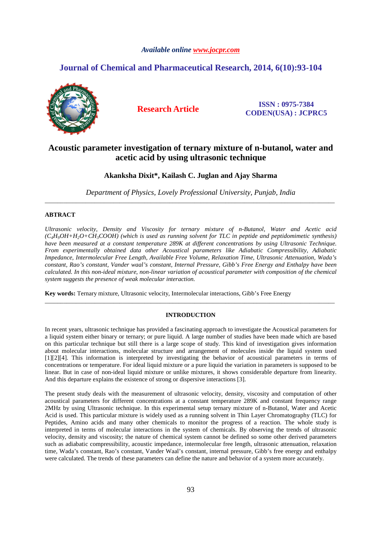## *Available online www.jocpr.com*

# **Journal of Chemical and Pharmaceutical Research, 2014, 6(10):93-104**



**Research Article ISSN : 0975-7384 CODEN(USA) : JCPRC5**

# **Acoustic parameter investigation of ternary mixture of n-butanol, water and acetic acid by using ultrasonic technique**

## **Akanksha Dixit\*, Kailash C. Juglan and Ajay Sharma**

*Department of Physics, Lovely Professional University, Punjab, India*  \_\_\_\_\_\_\_\_\_\_\_\_\_\_\_\_\_\_\_\_\_\_\_\_\_\_\_\_\_\_\_\_\_\_\_\_\_\_\_\_\_\_\_\_\_\_\_\_\_\_\_\_\_\_\_\_\_\_\_\_\_\_\_\_\_\_\_\_\_\_\_\_\_\_\_\_\_\_\_\_\_\_\_\_\_\_\_\_\_\_\_\_\_

## **ABTRACT**

*Ultrasonic velocity, Density and Viscosity for ternary mixture of n-Butanol, Water and Acetic acid (C4H9OH+H2O+CH3COOH) (which is used as running solvent for TLC in peptide and peptidomimetic synthesis) have been measured at a constant temperature 289K at different concentrations by using Ultrasonic Technique. From experimentally obtained data other Acoustical parameters like Adiabatic Compressibility, Adiabatic Impedance, Intermolecular Free Length, Available Free Volume, Relaxation Time, Ultrasonic Attenuation, Wada's constant, Rao's constant, Vander waal's constant, Internal Pressure, Gibb's Free Energy and Enthalpy have been calculated. In this non-ideal mixture, non-linear variation of acoustical parameter with composition of the chemical system suggests the presence of weak molecular interaction.* 

**Key words:** Ternary mixture, Ultrasonic velocity, Intermolecular interactions, Gibb's Free Energy

## **INTRODUCTION**

\_\_\_\_\_\_\_\_\_\_\_\_\_\_\_\_\_\_\_\_\_\_\_\_\_\_\_\_\_\_\_\_\_\_\_\_\_\_\_\_\_\_\_\_\_\_\_\_\_\_\_\_\_\_\_\_\_\_\_\_\_\_\_\_\_\_\_\_\_\_\_\_\_\_\_\_\_\_\_\_\_\_\_\_\_\_\_\_\_\_\_\_\_

In recent years, ultrasonic technique has provided a fascinating approach to investigate the Acoustical parameters for a liquid system either binary or ternary; or pure liquid. A large number of studies have been made which are based on this particular technique but still there is a large scope of study. This kind of investigation gives information about molecular interactions, molecular structure and arrangement of molecules inside the liquid system used [1][2][4]. This information is interpreted by investigating the behavior of acoustical parameters in terms of concentrations or temperature. For ideal liquid mixture or a pure liquid the variation in parameters is supposed to be linear. But in case of non-ideal liquid mixture or unlike mixtures, it shows considerable departure from linearity. And this departure explains the existence of strong or dispersive interactions [3].

The present study deals with the measurement of ultrasonic velocity, density, viscosity and computation of other acoustical parameters for different concentrations at a constant temperature 289K and constant frequency range 2MHz by using Ultrasonic technique. In this experimental setup ternary mixture of n-Butanol, Water and Acetic Acid is used. This particular mixture is widely used as a running solvent in Thin Layer Chromatography (TLC) for Peptides, Amino acids and many other chemicals to monitor the progress of a reaction. The whole study is interpreted in terms of molecular interactions in the system of chemicals. By observing the trends of ultrasonic velocity, density and viscosity; the nature of chemical system cannot be defined so some other derived parameters such as adiabatic compressibility, acoustic impedance, intermolecular free length, ultrasonic attenuation, relaxation time, Wada's constant, Rao's constant, Vander Waal's constant, internal pressure, Gibb's free energy and enthalpy were calculated. The trends of these parameters can define the nature and behavior of a system more accurately.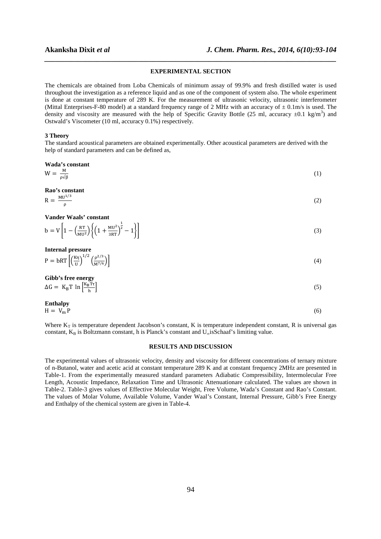# *\_\_\_\_\_\_\_\_\_\_\_\_\_\_\_\_\_\_\_\_\_\_\_\_\_\_\_\_\_\_\_\_\_\_\_\_\_\_\_\_\_\_\_\_\_\_\_\_\_\_\_\_\_\_\_\_\_\_\_\_\_\_\_\_\_\_\_\_\_\_\_\_\_\_\_\_\_\_* **EXPERIMENTAL SECTION**

The chemicals are obtained from Loba Chemicals of minimum assay of 99.9% and fresh distilled water is used throughout the investigation as a reference liquid and as one of the component of system also. The whole experiment is done at constant temperature of 289 K. For the measurement of ultrasonic velocity, ultrasonic interferometer (Mittal Enterprises-F-80 model) at a standard frequency range of 2 MHz with an accuracy of  $\pm$  0.1m/s is used. The density and viscosity are measured with the help of Specific Gravity Bottle (25 ml, accuracy  $\pm 0.1$  kg/m<sup>3</sup>) and Ostwald's Viscometer (10 ml, accuracy 0.1%) respectively.

### **3 Theory**

The standard acoustical parameters are obtained experimentally. Other acoustical parameters are derived with the help of standard parameters and can be defined as,

**Wada's constant** 

 $W = \frac{M}{\rho \sqrt{\beta}}$  $\frac{M}{\rho\sqrt{\beta}}$  (1)

**Rao's constant**  

$$
= MU^{1/3}
$$

$$
R = \frac{M U^{1/3}}{\rho} \tag{2}
$$

**Vander Waals' constant** 

$$
b = V \left[ 1 - \left( \frac{RT}{MU^2} \right) \left\{ \left( 1 + \frac{MU^2}{3RT} \right)^{\frac{1}{2}} - 1 \right\} \right]
$$
 (3)

**Internal pressure** 

$$
P = bRT \left[ \left( \frac{K\eta}{U} \right)^{1/2} \left( \frac{\rho^{2/3}}{M^{7/6}} \right) \right] \tag{4}
$$

**Gibb's free energy** 

$$
\Delta G = K_B T \ln \left[ \frac{K_B T \tau}{h} \right] \tag{5}
$$

**Enthalpy**  
H = 
$$
V_m P
$$
 (6)

Where  $K_T$  is temperature dependent Jacobson's constant, K is temperature independent constant, R is universal gas constant,  $K_B$  is Boltzmann constant, h is Planck's constant and  $U_{\infty}$ isSchaaf's limiting value.

## **RESULTS AND DISCUSSION**

The experimental values of ultrasonic velocity, density and viscosity for different concentrations of ternary mixture of n-Butanol, water and acetic acid at constant temperature 289 K and at constant frequency 2MHz are presented in Table-1. From the experimentally measured standard parameters Adiabatic Compressibility, Intermolecular Free Length, Acoustic Impedance, Relaxation Time and Ultrasonic Attenuationare calculated. The values are shown in Table-2. Table-3 gives values of Effective Molecular Weight, Free Volume, Wada's Constant and Rao's Constant. The values of Molar Volume, Available Volume, Vander Waal's Constant, Internal Pressure, Gibb's Free Energy and Enthalpy of the chemical system are given in Table-4.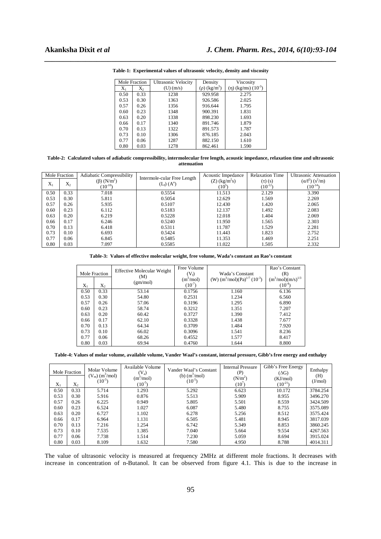| Mole Fraction    |      | <b>Ultrasonic Velocity</b> | Density                       | Viscosity              |  |
|------------------|------|----------------------------|-------------------------------|------------------------|--|
| $X_1$<br>$X_{2}$ |      | $(U)$ $(m/s)$              | $(\rho)$ (kg/m <sup>3</sup> ) | $(η)$ (kg/ms) $(10-3)$ |  |
| 0.50             | 0.33 | 1238                       | 929.958                       | 2.275                  |  |
| 0.53             | 0.30 | 1363                       | 926.586                       | 2.025                  |  |
| 0.57             | 0.26 | 1356                       | 916.644                       | 1.795                  |  |
| 0.60             | 0.23 | 1348                       | 900.391                       | 1.831                  |  |
| 0.63             | 0.20 | 1338                       | 898.230                       | 1.693                  |  |
| 0.66             | 0.17 | 1340                       | 891.746                       | 1.879                  |  |
| 0.70             | 0.13 | 1322                       | 891.573                       | 1.787                  |  |
| 0.73             | 0.10 | 1306                       | 876.185                       | 2.043                  |  |
| 0.77             | 0.06 | 1287                       | 882.150                       | 1.610                  |  |
| 0.80             | 0.03 | 1278                       | 862.461                       | 1.590                  |  |

*\_\_\_\_\_\_\_\_\_\_\_\_\_\_\_\_\_\_\_\_\_\_\_\_\_\_\_\_\_\_\_\_\_\_\_\_\_\_\_\_\_\_\_\_\_\_\_\_\_\_\_\_\_\_\_\_\_\_\_\_\_\_\_\_\_\_\_\_\_\_\_\_\_\_\_\_\_\_* **Table-1: Experimental values of ultrasonic velocity, density and viscosity** 

**Table-2: Calculated values of adiabatic compressibility, intermolecular free length, acoustic impedance, relaxation time and ultrasonic attenuation** 

| Mole Fraction |       | <b>Adiabatic Compressibility</b>              | Intermole-cular Free Length | Acoustic Impedance                      | <b>Relaxation Time</b>       | <b>Ultrasonic Attenuation</b>         |
|---------------|-------|-----------------------------------------------|-----------------------------|-----------------------------------------|------------------------------|---------------------------------------|
| $X_1$         | $X_2$ | $(\beta)$ (N/m <sup>2</sup> )<br>$(10^{-10})$ | $(L_f)$ $(A^{\circ})$       | $(Z)$ (kg/m <sup>2</sup> s)<br>$(10^5)$ | $(\tau)$ (s)<br>$(10^{-12})$ | $(\alpha/f^2)(s^2/m)$<br>$(10^{-14})$ |
| 0.50          | 0.33  | 7.018                                         | 0.5554                      | 11.513                                  | 2.129                        | 3.390                                 |
| 0.53          | 0.30  | 5.811                                         | 0.5054                      | 12.629                                  | 1.569                        | 2.269                                 |
| 0.57          | 0.26  | 5.935                                         | 0.5107                      | 12.430                                  | 1.420                        | 2.065                                 |
| 0.60          | 0.23  | 6.112                                         | 0.5183                      | 12.137                                  | 1.492                        | 2.083                                 |
| 0.63          | 0.20  | 6.219                                         | 0.5228                      | 12.018                                  | 1.404                        | 2.069                                 |
| 0.66          | 0.17  | 6.246                                         | 0.5240                      | 11.950                                  | 1.565                        | 2.303                                 |
| 0.70          | 0.13  | 6.418                                         | 0.5311                      | 11.787                                  | 1.529                        | 2.281                                 |
| 0.73          | 0.10  | 6.693                                         | 0.5424                      | 11.443                                  | 1.823                        | 2.752                                 |
| 0.77          | 0.06  | 6.845                                         | 0.5485                      | 11.353                                  | 1.469                        | 2.251                                 |
| 0.80          | 0.03  | 7.097                                         | 0.5585                      | 11.022                                  | 1.505                        | 2.332                                 |

**Table-3: Values of effective molecular weight, free volume, Wada's constant an Rao's constant** 

|               |       | <b>Effective Molecular Weight</b> | Free Volume           |                                               | Rao's Constant         |
|---------------|-------|-----------------------------------|-----------------------|-----------------------------------------------|------------------------|
| Mole Fraction |       | (M)                               | $(V_f)$               | Wada's Constant                               | (R)                    |
|               |       | (gm/mol)                          | (m <sup>3</sup> /mol) | (W) $(m^3/mol)(Pa)^{1/7}$ (10 <sup>-3</sup> ) | $(m^3/mol)(m/s)^{1/3}$ |
| $\rm X_1$     | $X_2$ |                                   | $(10^{-7})$           |                                               | $(10^{-4})$            |
| 0.50          | 0.33  | 53.14                             | 0.1756                | 1.160                                         | 6.136                  |
| 0.53          | 0.30  | 54.80                             | 0.2531                | 1.234                                         | 6.560                  |
| 0.57          | 0.26  | 57.06                             | 0.3196                | 1.295                                         | 6.890                  |
| 0.60          | 0.23  | 58.74                             | 0.3212                | 1.351                                         | 7.207                  |
| 0.63          | 0.20  | 60.42                             | 0.3727                | 1.390                                         | 7.412                  |
| 0.66          | 0.17  | 62.10                             | 0.3328                | 1.438                                         | 7.677                  |
| 0.70          | 0.13  | 64.34                             | 0.3709                | 1.484                                         | 7.920                  |
| 0.73          | 0.10  | 66.02                             | 0.3096                | 1.541                                         | 8.236                  |
| 0.77          | 0.06  | 68.26                             | 0.4552                | 1.577                                         | 8.417                  |
| 0.80          | 0.03  | 69.94                             | 0.4760                | 1.644                                         | 8.800                  |

**Table-4: Values of molar volume, available volume, Vander Waal's constant, internal pressure, Gibb's free energy and enthalpy** 

| $X_1$ | Mole Fraction<br>$X_2$ | Molar Volume<br>$(V_m)$ (m <sup>3</sup> /mol)<br>$(10^{-5})$ | Available Volume<br>$(V_a)$<br>(m <sup>3</sup> /mol)<br>$(10^{-5})$ | Vander Waal's Constant<br>(b) $(m^3/mol)$<br>$(10^{-5})$ | <b>Internal Pressure</b><br>(P)<br>$(N/m^2)$<br>$(10^{\prime})$ | Gibb's Free Energy<br>$(\Delta G)$<br>(KJ/mol)<br>$(10^{-21})$ | Enthalpy<br>(H)<br>(J/mol) |
|-------|------------------------|--------------------------------------------------------------|---------------------------------------------------------------------|----------------------------------------------------------|-----------------------------------------------------------------|----------------------------------------------------------------|----------------------------|
| 0.50  | 0.33                   | 5.714                                                        | 1.293                                                               | 5.292                                                    | 6.623                                                           | 10.172                                                         | 3784.254                   |
| 0.53  | 0.30                   | 5.916                                                        | 0.876                                                               | 5.513                                                    | 5.909                                                           | 8.955                                                          | 3496.270                   |
| 0.57  | 0.26                   | 6.225                                                        | 0.949                                                               | 5.805                                                    | 5.501                                                           | 8.559                                                          | 3424.509                   |
| 0.60  | 0.23                   | 6.524                                                        | 1.027                                                               | 6.087                                                    | 5.480                                                           | 8.755                                                          | 3575.089                   |
| 0.63  | 0.20                   | 6.727                                                        | 1.102                                                               | 6.278                                                    | 5.256                                                           | 8.512                                                          | 3575.424                   |
| 0.66  | 0.17                   | 6.964                                                        | 1.131                                                               | 6.505                                                    | 5.481                                                           | 8.945                                                          | 3817.039                   |
| 0.70  | 0.13                   | 7.216                                                        | 1.254                                                               | 6.742                                                    | 5.349                                                           | 8.853                                                          | 3860.245                   |
| 0.73  | 0.10                   | 7.535                                                        | 1.385                                                               | 7.040                                                    | 5.664                                                           | 9.554                                                          | 4267.563                   |
| 0.77  | 0.06                   | 7.738                                                        | 1.514                                                               | 7.230                                                    | 5.059                                                           | 8.694                                                          | 3915.024                   |
| 0.80  | 0.03                   | 8.109                                                        | 1.632                                                               | 7.580                                                    | 4.950                                                           | 8.788                                                          | 4014.311                   |

The value of ultrasonic velocity is measured at frequency 2MHz at different mole fractions. It decreases with increase in concentration of n-Butanol. It can be observed from figure 4.1. This is due to the increase in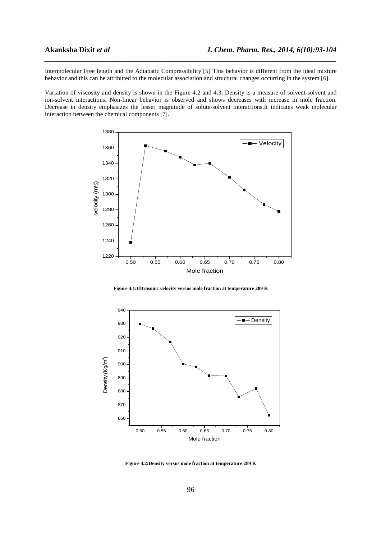Intermolecular Free length and the Adiabatic Compressibility [5] This behavior is different from the ideal mixture behavior and this can be attributed to the molecular association and structural changes occurring in the system [6].

*\_\_\_\_\_\_\_\_\_\_\_\_\_\_\_\_\_\_\_\_\_\_\_\_\_\_\_\_\_\_\_\_\_\_\_\_\_\_\_\_\_\_\_\_\_\_\_\_\_\_\_\_\_\_\_\_\_\_\_\_\_\_\_\_\_\_\_\_\_\_\_\_\_\_\_\_\_\_*

Variation of viscosity and density is shown in the Figure 4.2 and 4.3. Density is a measure of solvent-solvent and ion-solvent interactions. Non-linear behavior is observed and shows decreases with increase in mole fraction. Decrease in density emphasizes the lesser magnitude of solute-solvent interactions.It indicates weak molecular interaction between the chemical components [7].



**Figure 4.1:Ultrasonic velocity versus mole fraction at temperature 289 K** 



**Figure 4.2:Density versus mole fraction at temperature 289 K**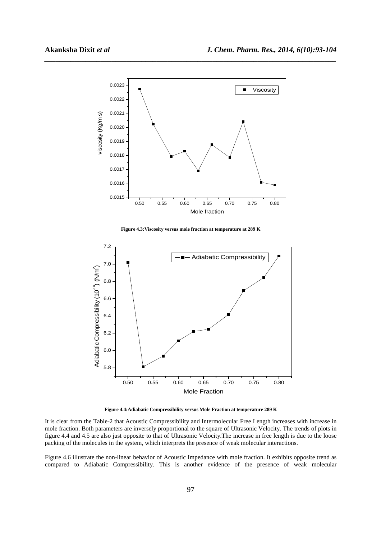

**Figure 4.3:Viscosity versus mole fraction at temperature at 289 K** 



**Figure 4.4:Adiabatic Compressibility versus Mole Fraction at temperature 289 K** 

It is clear from the Table-2 that Acoustic Compressibility and Intermolecular Free Length increases with increase in mole fraction. Both parameters are inversely proportional to the square of Ultrasonic Velocity. The trends of plots in figure 4.4 and 4.5 are also just opposite to that of Ultrasonic Velocity.The increase in free length is due to the loose packing of the molecules in the system, which interprets the presence of weak molecular interactions.

Figure 4.6 illustrate the non-linear behavior of Acoustic Impedance with mole fraction. It exhibits opposite trend as compared to Adiabatic Compressibility. This is another evidence of the presence of weak molecular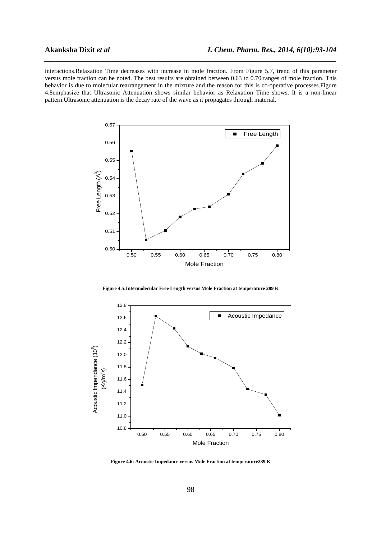interactions.Relaxation Time decreases with increase in mole fraction. From Figure 5.7, trend of this parameter versus mole fraction can be noted. The best results are obtained between 0.63 to 0.70 ranges of mole fraction. This behavior is due to molecular rearrangement in the mixture and the reason for this is co-operative processes.Figure 4.8emphasize that Ultrasonic Attenuation shows similar behavior as Relaxation Time shows. It is a non-linear pattern.Ultrasonic attenuation is the decay rate of the wave as it propagates through material.



**Figure 4.5:Intermolecular Free Length versus Mole Fraction at temperature 289 K** 



**Figure 4.6: Acoustic Impedance versus Mole Fraction at temperature289 K**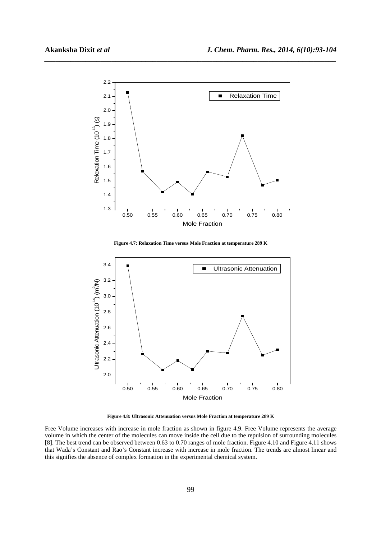

**Figure 4.7: Relaxation Time versus Mole Fraction at temperature 289 K** 



**Figure 4.8: Ultrasonic Attenuation versus Mole Fraction at temperature 289 K** 

Free Volume increases with increase in mole fraction as shown in figure 4.9. Free Volume represents the average volume in which the center of the molecules can move inside the cell due to the repulsion of surrounding molecules [8]. The best trend can be observed between 0.63 to 0.70 ranges of mole fraction. Figure 4.10 and Figure 4.11 shows that Wada's Constant and Rao's Constant increase with increase in mole fraction. The trends are almost linear and this signifies the absence of complex formation in the experimental chemical system.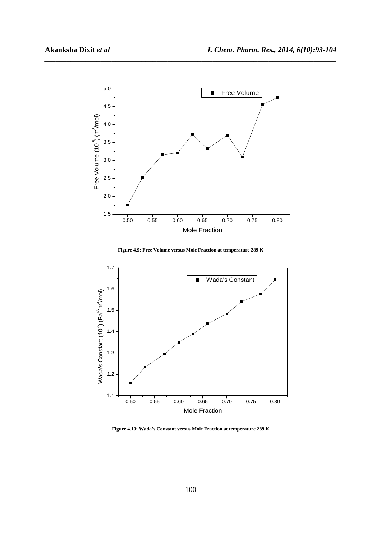

**Figure 4.9: Free Volume versus Mole Fraction at temperature 289 K** 



**Figure 4.10: Wada's Constant versus Mole Fraction at temperature 289 K**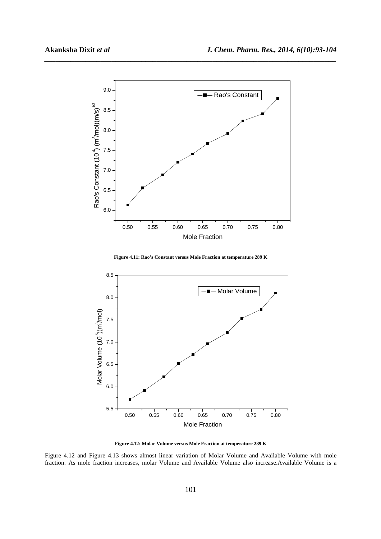





**Figure 4.12: Molar Volume versus Mole Fraction at temperature 289 K** 

Figure 4.12 and Figure 4.13 shows almost linear variation of Molar Volume and Available Volume with mole fraction. As mole fraction increases, molar Volume and Available Volume also increase.Available Volume is a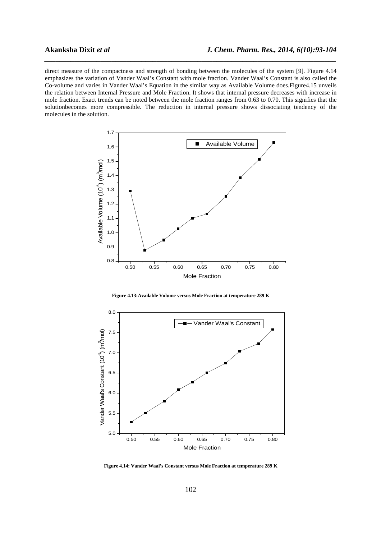direct measure of the compactness and strength of bonding between the molecules of the system [9]. Figure 4.14 emphasizes the variation of Vander Waal's Constant with mole fraction. Vander Waal's Constant is also called the Co-volume and varies in Vander Waal's Equation in the similar way as Available Volume does.Figure4.15 unveils the relation between Internal Pressure and Mole Fraction. It shows that internal pressure decreases with increase in mole fraction. Exact trends can be noted between the mole fraction ranges from 0.63 to 0.70. This signifies that the solutionbecomes more compressible. The reduction in internal pressure shows dissociating tendency of the molecules in the solution.







**Figure 4.14: Vander Waal's Constant versus Mole Fraction at temperature 289 K**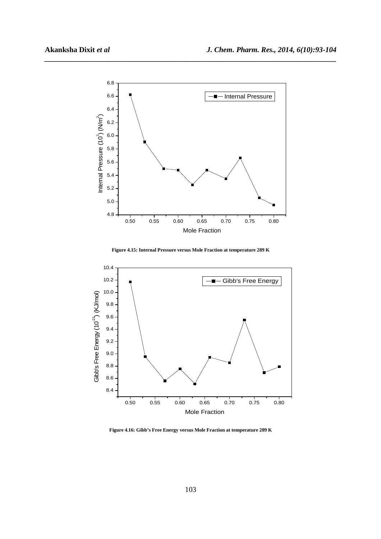

**Figure 4.15: Internal Pressure versus Mole Fraction at temperature 289 K** 



**Figure 4.16: Gibb's Free Energy versus Mole Fraction at temperature 289 K**